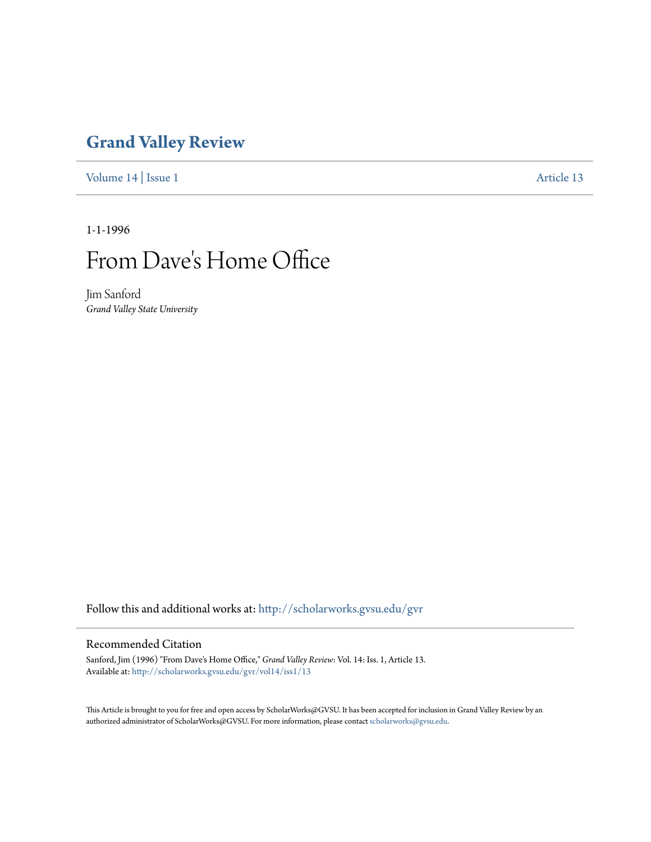## **[Grand Valley Review](http://scholarworks.gvsu.edu/gvr?utm_source=scholarworks.gvsu.edu%2Fgvr%2Fvol14%2Fiss1%2F13&utm_medium=PDF&utm_campaign=PDFCoverPages)**

[Volume 14](http://scholarworks.gvsu.edu/gvr/vol14?utm_source=scholarworks.gvsu.edu%2Fgvr%2Fvol14%2Fiss1%2F13&utm_medium=PDF&utm_campaign=PDFCoverPages) | [Issue 1](http://scholarworks.gvsu.edu/gvr/vol14/iss1?utm_source=scholarworks.gvsu.edu%2Fgvr%2Fvol14%2Fiss1%2F13&utm_medium=PDF&utm_campaign=PDFCoverPages) [Article 13](http://scholarworks.gvsu.edu/gvr/vol14/iss1/13?utm_source=scholarworks.gvsu.edu%2Fgvr%2Fvol14%2Fiss1%2F13&utm_medium=PDF&utm_campaign=PDFCoverPages)

1-1-1996

# From Dave 's Home Office

Jim Sanford *Grand Valley State University*

Follow this and additional works at: [http://scholarworks.gvsu.edu/gvr](http://scholarworks.gvsu.edu/gvr?utm_source=scholarworks.gvsu.edu%2Fgvr%2Fvol14%2Fiss1%2F13&utm_medium=PDF&utm_campaign=PDFCoverPages)

#### Recommended Citation

Sanford, Jim (1996) "From Dave's Home Office," *Grand Valley Review*: Vol. 14: Iss. 1, Article 13. Available at: [http://scholarworks.gvsu.edu/gvr/vol14/iss1/13](http://scholarworks.gvsu.edu/gvr/vol14/iss1/13?utm_source=scholarworks.gvsu.edu%2Fgvr%2Fvol14%2Fiss1%2F13&utm_medium=PDF&utm_campaign=PDFCoverPages)

This Article is brought to you for free and open access by ScholarWorks@GVSU. It has been accepted for inclusion in Grand Valley Review by an authorized administrator of ScholarWorks@GVSU. For more information, please contact [scholarworks@gvsu.edu.](mailto:scholarworks@gvsu.edu)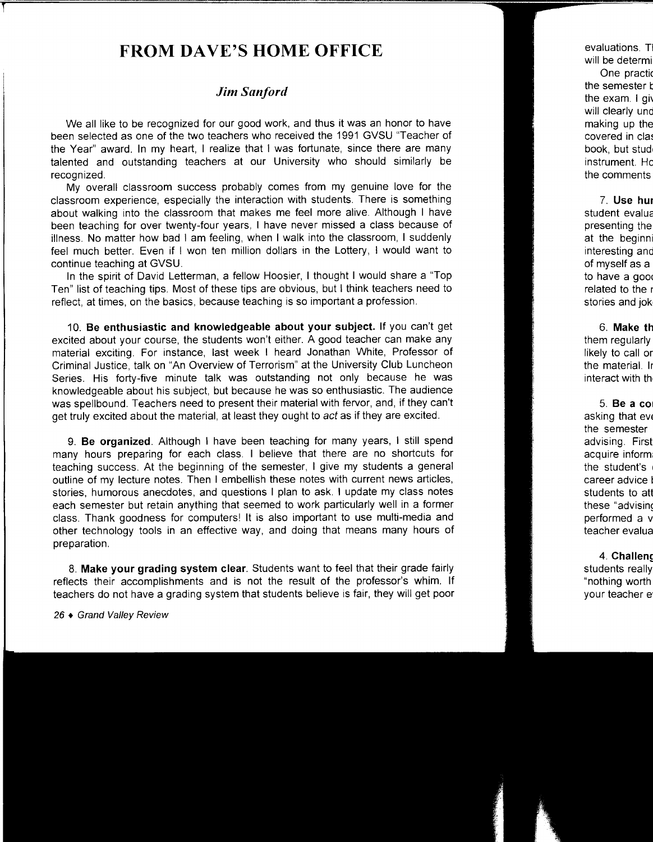### **FROM DAVE'S HOME OFFICE**

#### *Jim Sanford*

We all like to be recognized for our good work, and thus it was an honor to have been selected as one of the two teachers who received the 1991 GVSU "Teacher of the Year" award. In my heart, I realize that I was fortunate, since there are many talented and outstanding teachers at our University who should similarly be recognized.

My overall classroom success probably comes from my genuine love for the classroom experience, especially the interaction with students. There is something about walking into the classroom that makes me feel more alive. Although I have been teaching for over twenty-four years, I have never missed a class because of illness. No matter how bad I am feeling, when I walk into the classroom, I suddenly feel much better. Even if I won ten million dollars in the Lottery, I would want to continue teaching at GVSU.

In the spirit of David Letterman, a fellow Hoosier, I thought I would share a 'Top Ten" list of teaching tips. Most of these tips are obvious, but I think teachers need to reflect, at times, on the basics, because teaching is so important a profession.

10. **Be enthusiastic and knowledgeable about your subject.** If you can't get excited about your course, the students won't either. A good teacher can make any material exciting. For instance, last week I heard Jonathan White, Professor of Criminal Justice, talk on "An Overview of Terrorism" at the University Club Luncheon Series. His forty-five minute talk was outstanding not only because he was knowledgeable about his subject, but because he was so enthusiastic. The audience was spellbound. Teachers need to present their material with fervor, and, if they can't get truly excited about the material, at least they ought to act as if they are excited.

9. **Be organized.** Although I have been teaching for many years, I still spend many hours preparing for each class. I believe that there are no shortcuts for teaching success. At the beginning of the semester, I give my students a general outline of my lecture notes. Then I embellish these notes with current news articles, stories, humorous anecdotes, and questions I plan to ask. I update my class notes each semester but retain anything that seemed to work particularly well in a former class. Thank goodness for computers! It is also important to use multi-media and other technology tools in an effective way, and doing that means many hours of preparation.

8. **Make your grading system clear.** Students want to feel that their grade fairly reflects their accomplishments and is not the result of the professor's whim. If teachers do not have a grading system that students believe is fair, they will get poor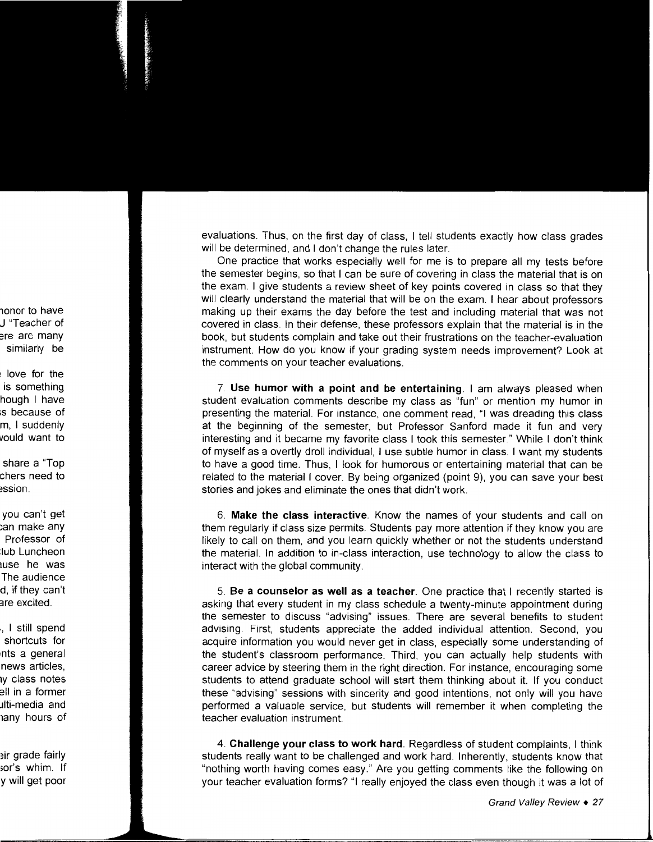evaluations. Thus, on the first day of class, I tell students exactly how class grades will be determined, and I don't change the rules later.

One practice that works especially well for me is to prepare all my tests before the semester begins, so that I can be sure of covering in class the material that is on the exam. I give students a review sheet of key points covered in class so that they will clearly understand the material that will be on the exam. I hear about professors making up their exams the day before the test and including material that was not covered in class. In their defense, these professors explain that the material is in the book, but students complain and take out their frustrations on the teacher-evaluation instrument. How do you know if your grading system needs improvement? Look at the comments on your teacher evaluations.

7. **Use humor with a point and be entertaining.** I am always pleased when student evaluation comments describe my class as "fun" or mention my humor in presenting the material. For instance, one comment read, "I was dreading this class at the beginning of the semester, but Professor Sanford made it fun and very interesting and it became my favorite class I took this semester." While I don't think of myself as a overtly droll individual, I use subtle humor in class. I want my students to have a good time. Thus, I look for humorous or entertaining material that can be related to the material I cover. By being organized (point 9), you can save your best stories and jokes and eliminate the ones that didn't work.

6. **Make the class interactive.** Know the names of your students and call on them regularly if class size permits. Students pay more attention if they know you are likely to call on them, and you learn quickly whether or not the students understand the material. In addition to in-class interaction, use technology to allow the class to interact with the global community.

5. **Be a counselor as well as a teacher.** One practice that I recently started is asking that every student in my class schedule a twenty-minute appointment during the semester to discuss "advising" issues. There are several benefits to student advising. First, students appreciate the added individual attention. Second, you acquire information you would never get in class, especially some understanding of the student's classroom performance. Third, you can actually help students with career advice by steering them in the right direction. For instance, encouraging some students to attend graduate school will start them thinking about it. If you conduct these "advising" sessions with sincerity and good intentions, not only will you have performed a valuable service, but students will remember it when completing the teacher evaluation instrument.

4. **Challenge your class to work hard.** Regardless of student complaints, I think students really want to be challenged and work hard. Inherently, students know that "nothing worth having comes easy." Are you getting comments like the following on your teacher evaluation forms? "I really enjoyed the class even though it was a lot of